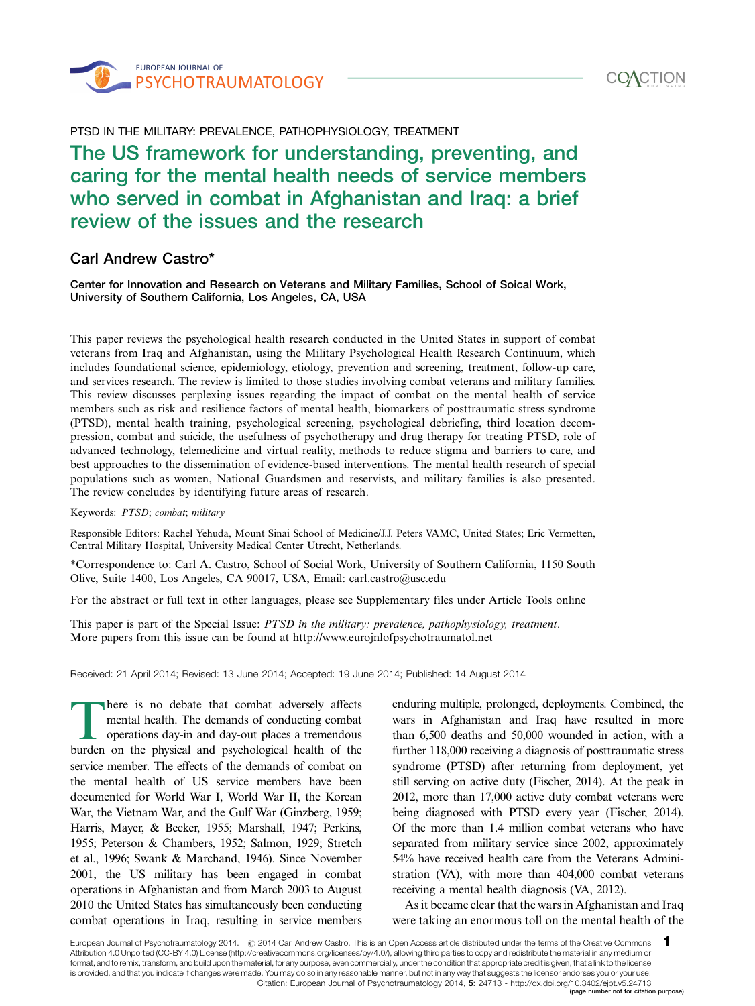

# PTSD IN THE MILITARY: PREVALENCE, PATHOPHYSIOLOGY, TREATMENT -

# The US framework for understanding, preventing, and caring for the mental health needs of service members who served in combat in Afghanistan and Iraq: a brief review of the issues and the research

# Carl Andrew Castro\*

Center for Innovation and Research on Veterans and Military Families, School of Soical Work, University of Southern California, Los Angeles, CA, USA

This paper reviews the psychological health research conducted in the United States in support of combat veterans from Iraq and Afghanistan, using the Military Psychological Health Research Continuum, which includes foundational science, epidemiology, etiology, prevention and screening, treatment, follow-up care, and services research. The review is limited to those studies involving combat veterans and military families. This review discusses perplexing issues regarding the impact of combat on the mental health of service members such as risk and resilience factors of mental health, biomarkers of posttraumatic stress syndrome (PTSD), mental health training, psychological screening, psychological debriefing, third location decompression, combat and suicide, the usefulness of psychotherapy and drug therapy for treating PTSD, role of advanced technology, telemedicine and virtual reality, methods to reduce stigma and barriers to care, and best approaches to the dissemination of evidence-based interventions. The mental health research of special populations such as women, National Guardsmen and reservists, and military families is also presented. The review concludes by identifying future areas of research.

Keywords: PTSD; combat; military

Responsible Editors: Rachel Yehuda, Mount Sinai School of Medicine/J.J. Peters VAMC, United States; Eric Vermetten, Central Military Hospital, University Medical Center Utrecht, Netherlands.

\*Correspondence to: Carl A. Castro, School of Social Work, University of Southern California, 1150 South Olive, Suite 1400, Los Angeles, CA 90017, USA, Email: carl.castro@usc.edu

[For the abstract or full text in other languages, please see Supplementary files under Article Tools online](http://www.eurojnlofpsychotraumatol.net/index.php/ejpt/rt/suppFiles/24713/0)

This paper is part of the Special Issue: [PTSD in the military: prevalence, pathophysiology, treatment](http://www.ejpt.net/index.php/ejpt/issue/view/1603#PTSD%20in%20the%20military:%20prevalence,%20pathophysiology,%20treatment). [More papers from this issue can be found at http://www.eurojnlofpsychotraumatol.net](http://www.ejpt.net/index.php/ejpt/issue/view/1603#PTSD%20in%20the%20military:%20prevalence,%20pathophysiology,%20treatment)

Received: 21 April 2014; Revised: 13 June 2014; Accepted: 19 June 2014; Published: 14 August 2014

There is no debate that combat adversely affects<br>mental health. The demands of conducting combat<br>operations day-in and day-out places a tremendous<br>hurden on the physical and psychological health of the mental health. The demands of conducting combat operations day-in and day-out places a tremendous burden on the physical and psychological health of the service member. The effects of the demands of combat on the mental health of US service members have been documented for World War I, World War II, the Korean War, the Vietnam War, and the Gulf War (Ginzberg, 1959; Harris, Mayer, & Becker, 1955; Marshall, 1947; Perkins, 1955; Peterson & Chambers, 1952; Salmon, 1929; Stretch et al., 1996; Swank & Marchand, 1946). Since November 2001, the US military has been engaged in combat operations in Afghanistan and from March 2003 to August 2010 the United States has simultaneously been conducting combat operations in Iraq, resulting in service members enduring multiple, prolonged, deployments. Combined, the wars in Afghanistan and Iraq have resulted in more than 6,500 deaths and 50,000 wounded in action, with a further 118,000 receiving a diagnosis of posttraumatic stress syndrome (PTSD) after returning from deployment, yet still serving on active duty (Fischer, 2014). At the peak in 2012, more than 17,000 active duty combat veterans were being diagnosed with PTSD every year (Fischer, 2014). Of the more than 1.4 million combat veterans who have separated from military service since 2002, approximately 54% have received health care from the Veterans Administration (VA), with more than 404,000 combat veterans receiving a mental health diagnosis (VA, 2012).

As it became clear that the wars in Afghanistan and Iraq were taking an enormous toll on the mental health of the

European Journal of Psychotraumatology 2014. @ 2014 Carl Andrew Castro. This is an Open Access article distributed under the terms of the Creative Commons Attribution 4.0 Unported (CC-BY 4.0) License (http://creativecommons.org/licenses/by/4.0/), allowing third parties to copy and redistribute the material in any medium or format, and to remix, transform, and build upon the material, for any purpose, even commercially, under the condition that appropriate credit is given, that a link to the license is provided, and that you indicate if changes were made. You may do so in any reasonable manner, but not in any way that suggests the licensor endorses you or your use. 1 [Citation: European Journal of Psychotraumatology 2014,](http://eurojnlofpsychotraumatol.net/index.php/ejpt/article/view/24713) 5: 24713 - <http://dx.doi.org/10.3402/ejpt.v5.24713> (page number not for citation purpose)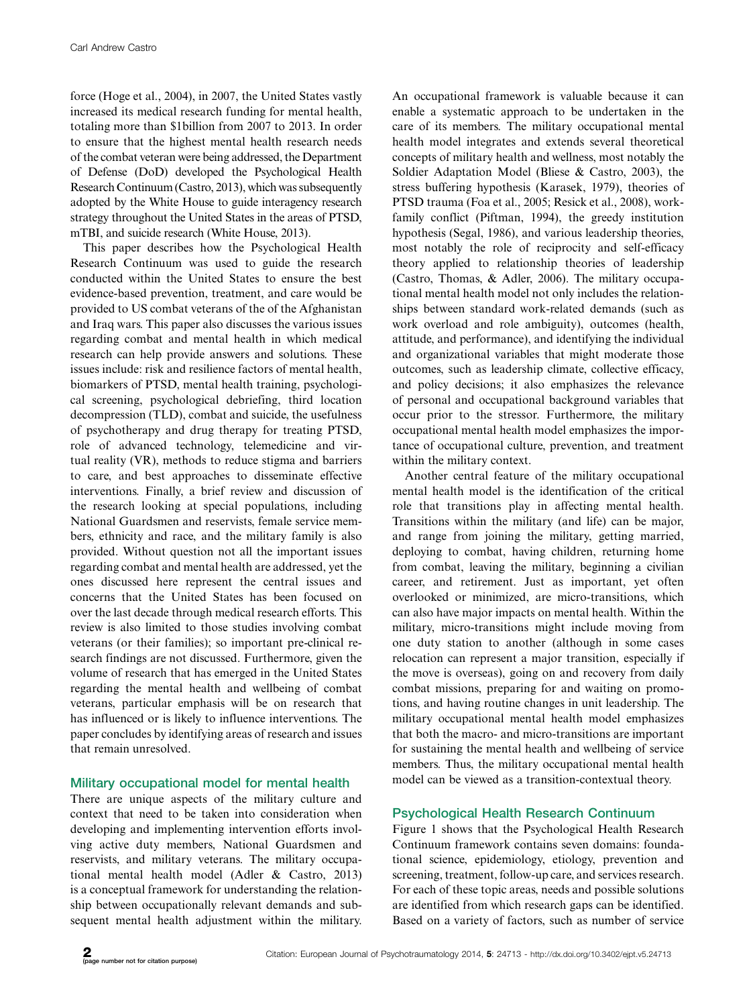force (Hoge et al., 2004), in 2007, the United States vastly increased its medical research funding for mental health, totaling more than \$1billion from 2007 to 2013. In order to ensure that the highest mental health research needs of the combat veteran were being addressed, the Department of Defense (DoD) developed the Psychological Health Research Continuum (Castro, 2013), which was subsequently adopted by the White House to guide interagency research strategy throughout the United States in the areas of PTSD, mTBI, and suicide research (White House, 2013).

This paper describes how the Psychological Health Research Continuum was used to guide the research conducted within the United States to ensure the best evidence-based prevention, treatment, and care would be provided to US combat veterans of the of the Afghanistan and Iraq wars. This paper also discusses the various issues regarding combat and mental health in which medical research can help provide answers and solutions. These issues include: risk and resilience factors of mental health, biomarkers of PTSD, mental health training, psychological screening, psychological debriefing, third location decompression (TLD), combat and suicide, the usefulness of psychotherapy and drug therapy for treating PTSD, role of advanced technology, telemedicine and virtual reality (VR), methods to reduce stigma and barriers to care, and best approaches to disseminate effective interventions. Finally, a brief review and discussion of the research looking at special populations, including National Guardsmen and reservists, female service members, ethnicity and race, and the military family is also provided. Without question not all the important issues regarding combat and mental health are addressed, yet the ones discussed here represent the central issues and concerns that the United States has been focused on over the last decade through medical research efforts. This review is also limited to those studies involving combat veterans (or their families); so important pre-clinical research findings are not discussed. Furthermore, given the volume of research that has emerged in the United States regarding the mental health and wellbeing of combat veterans, particular emphasis will be on research that has influenced or is likely to influence interventions. The paper concludes by identifying areas of research and issues that remain unresolved.

# Military occupational model for mental health

There are unique aspects of the military culture and context that need to be taken into consideration when developing and implementing intervention efforts involving active duty members, National Guardsmen and reservists, and military veterans. The military occupational mental health model (Adler & Castro, 2013) is a conceptual framework for understanding the relationship between occupationally relevant demands and subsequent mental health adjustment within the military. An occupational framework is valuable because it can enable a systematic approach to be undertaken in the care of its members. The military occupational mental health model integrates and extends several theoretical concepts of military health and wellness, most notably the Soldier Adaptation Model (Bliese & Castro, 2003), the stress buffering hypothesis (Karasek, 1979), theories of PTSD trauma (Foa et al., 2005; Resick et al., 2008), workfamily conflict (Piftman, 1994), the greedy institution hypothesis (Segal, 1986), and various leadership theories, most notably the role of reciprocity and self-efficacy theory applied to relationship theories of leadership (Castro, Thomas, & Adler, 2006). The military occupational mental health model not only includes the relationships between standard work-related demands (such as work overload and role ambiguity), outcomes (health, attitude, and performance), and identifying the individual and organizational variables that might moderate those outcomes, such as leadership climate, collective efficacy, and policy decisions; it also emphasizes the relevance of personal and occupational background variables that occur prior to the stressor. Furthermore, the military occupational mental health model emphasizes the importance of occupational culture, prevention, and treatment within the military context.

Another central feature of the military occupational mental health model is the identification of the critical role that transitions play in affecting mental health. Transitions within the military (and life) can be major, and range from joining the military, getting married, deploying to combat, having children, returning home from combat, leaving the military, beginning a civilian career, and retirement. Just as important, yet often overlooked or minimized, are micro-transitions, which can also have major impacts on mental health. Within the military, micro-transitions might include moving from one duty station to another (although in some cases relocation can represent a major transition, especially if the move is overseas), going on and recovery from daily combat missions, preparing for and waiting on promotions, and having routine changes in unit leadership. The military occupational mental health model emphasizes that both the macro- and micro-transitions are important for sustaining the mental health and wellbeing of service members. Thus, the military occupational mental health model can be viewed as a transition-contextual theory.

# Psychological Health Research Continuum

Figure 1 shows that the Psychological Health Research Continuum framework contains seven domains: foundational science, epidemiology, etiology, prevention and screening, treatment, follow-up care, and services research. For each of these topic areas, needs and possible solutions are identified from which research gaps can be identified. Based on a variety of factors, such as number of service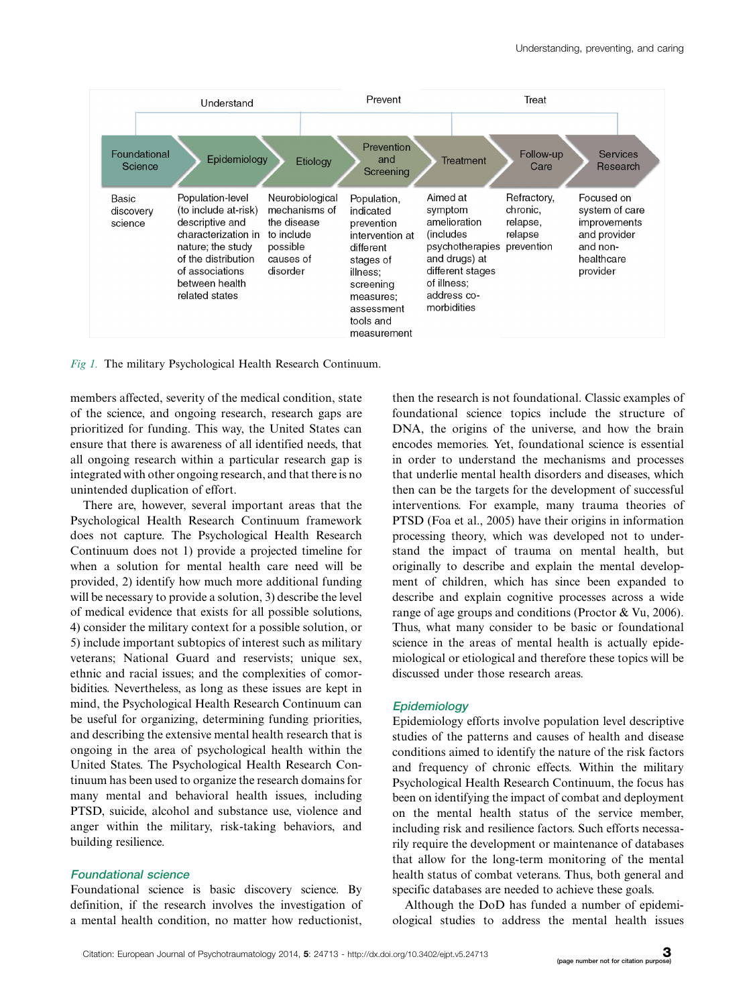

Fig 1. The military Psychological Health Research Continuum.

members affected, severity of the medical condition, state of the science, and ongoing research, research gaps are prioritized for funding. This way, the United States can ensure that there is awareness of all identified needs, that all ongoing research within a particular research gap is integrated with other ongoing research, and that there is no unintended duplication of effort.

There are, however, several important areas that the Psychological Health Research Continuum framework does not capture. The Psychological Health Research Continuum does not 1) provide a projected timeline for when a solution for mental health care need will be provided, 2) identify how much more additional funding will be necessary to provide a solution, 3) describe the level of medical evidence that exists for all possible solutions, 4) consider the military context for a possible solution, or 5) include important subtopics of interest such as military veterans; National Guard and reservists; unique sex, ethnic and racial issues; and the complexities of comorbidities. Nevertheless, as long as these issues are kept in mind, the Psychological Health Research Continuum can be useful for organizing, determining funding priorities, and describing the extensive mental health research that is ongoing in the area of psychological health within the United States. The Psychological Health Research Continuum has been used to organize the research domains for many mental and behavioral health issues, including PTSD, suicide, alcohol and substance use, violence and anger within the military, risk-taking behaviors, and building resilience.

#### Foundational science

Foundational science is basic discovery science. By definition, if the research involves the investigation of a mental health condition, no matter how reductionist,

then the research is not foundational. Classic examples of foundational science topics include the structure of DNA, the origins of the universe, and how the brain encodes memories. Yet, foundational science is essential in order to understand the mechanisms and processes that underlie mental health disorders and diseases, which then can be the targets for the development of successful interventions. For example, many trauma theories of PTSD (Foa et al., 2005) have their origins in information processing theory, which was developed not to understand the impact of trauma on mental health, but originally to describe and explain the mental development of children, which has since been expanded to describe and explain cognitive processes across a wide range of age groups and conditions (Proctor & Vu, 2006). Thus, what many consider to be basic or foundational science in the areas of mental health is actually epidemiological or etiological and therefore these topics will be discussed under those research areas.

# **Epidemiology**

Epidemiology efforts involve population level descriptive studies of the patterns and causes of health and disease conditions aimed to identify the nature of the risk factors and frequency of chronic effects. Within the military Psychological Health Research Continuum, the focus has been on identifying the impact of combat and deployment on the mental health status of the service member, including risk and resilience factors. Such efforts necessarily require the development or maintenance of databases that allow for the long-term monitoring of the mental health status of combat veterans. Thus, both general and specific databases are needed to achieve these goals.

Although the DoD has funded a number of epidemiological studies to address the mental health issues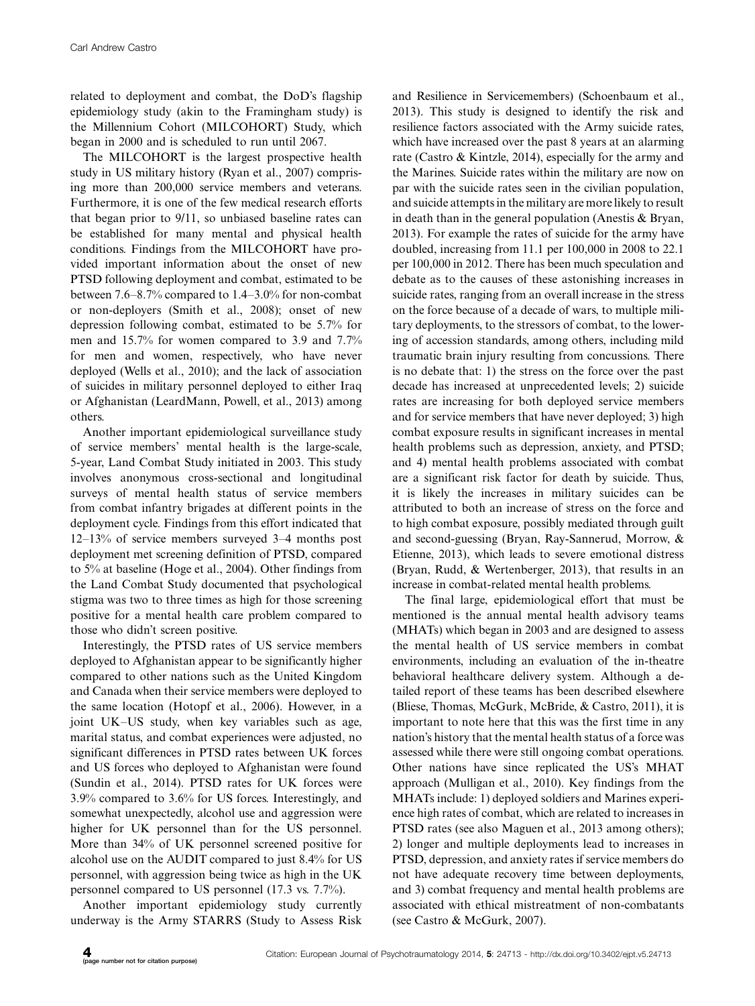related to deployment and combat, the DoD's flagship epidemiology study (akin to the Framingham study) is the Millennium Cohort (MILCOHORT) Study, which began in 2000 and is scheduled to run until 2067.

The MILCOHORT is the largest prospective health study in US military history (Ryan et al., 2007) comprising more than 200,000 service members and veterans. Furthermore, it is one of the few medical research efforts that began prior to 9/11, so unbiased baseline rates can be established for many mental and physical health conditions. Findings from the MILCOHORT have provided important information about the onset of new PTSD following deployment and combat, estimated to be between 7.6-8.7% compared to 1.4-3.0% for non-combat or non-deployers (Smith et al., 2008); onset of new depression following combat, estimated to be 5.7% for men and 15.7% for women compared to 3.9 and 7.7% for men and women, respectively, who have never deployed (Wells et al., 2010); and the lack of association of suicides in military personnel deployed to either Iraq or Afghanistan (LeardMann, Powell, et al., 2013) among others.

Another important epidemiological surveillance study of service members' mental health is the large-scale, 5-year, Land Combat Study initiated in 2003. This study involves anonymous cross-sectional and longitudinal surveys of mental health status of service members from combat infantry brigades at different points in the deployment cycle. Findings from this effort indicated that 12-13% of service members surveyed 3-4 months post deployment met screening definition of PTSD, compared to 5% at baseline (Hoge et al., 2004). Other findings from the Land Combat Study documented that psychological stigma was two to three times as high for those screening positive for a mental health care problem compared to those who didn't screen positive.

Interestingly, the PTSD rates of US service members deployed to Afghanistan appear to be significantly higher compared to other nations such as the United Kingdom and Canada when their service members were deployed to the same location (Hotopf et al., 2006). However, in a joint UK-US study, when key variables such as age, marital status, and combat experiences were adjusted, no significant differences in PTSD rates between UK forces and US forces who deployed to Afghanistan were found (Sundin et al., 2014). PTSD rates for UK forces were 3.9% compared to 3.6% for US forces. Interestingly, and somewhat unexpectedly, alcohol use and aggression were higher for UK personnel than for the US personnel. More than 34% of UK personnel screened positive for alcohol use on the AUDIT compared to just 8.4% for US personnel, with aggression being twice as high in the UK personnel compared to US personnel (17.3 vs. 7.7%).

Another important epidemiology study currently underway is the Army STARRS (Study to Assess Risk and Resilience in Servicemembers) (Schoenbaum et al., 2013). This study is designed to identify the risk and resilience factors associated with the Army suicide rates, which have increased over the past 8 years at an alarming rate (Castro & Kintzle, 2014), especially for the army and the Marines. Suicide rates within the military are now on par with the suicide rates seen in the civilian population, and suicide attempts in the military are more likely to result in death than in the general population (Anestis & Bryan, 2013). For example the rates of suicide for the army have doubled, increasing from 11.1 per 100,000 in 2008 to 22.1 per 100,000 in 2012. There has been much speculation and debate as to the causes of these astonishing increases in suicide rates, ranging from an overall increase in the stress on the force because of a decade of wars, to multiple military deployments, to the stressors of combat, to the lowering of accession standards, among others, including mild traumatic brain injury resulting from concussions. There is no debate that: 1) the stress on the force over the past decade has increased at unprecedented levels; 2) suicide rates are increasing for both deployed service members and for service members that have never deployed; 3) high combat exposure results in significant increases in mental health problems such as depression, anxiety, and PTSD; and 4) mental health problems associated with combat are a significant risk factor for death by suicide. Thus, it is likely the increases in military suicides can be attributed to both an increase of stress on the force and to high combat exposure, possibly mediated through guilt and second-guessing (Bryan, Ray-Sannerud, Morrow, & Etienne, 2013), which leads to severe emotional distress (Bryan, Rudd, & Wertenberger, 2013), that results in an increase in combat-related mental health problems.

The final large, epidemiological effort that must be mentioned is the annual mental health advisory teams (MHATs) which began in 2003 and are designed to assess the mental health of US service members in combat environments, including an evaluation of the in-theatre behavioral healthcare delivery system. Although a detailed report of these teams has been described elsewhere (Bliese, Thomas, McGurk, McBride, & Castro, 2011), it is important to note here that this was the first time in any nation's history that the mental health status of a force was assessed while there were still ongoing combat operations. Other nations have since replicated the US's MHAT approach (Mulligan et al., 2010). Key findings from the MHATs include: 1) deployed soldiers and Marines experience high rates of combat, which are related to increases in PTSD rates (see also Maguen et al., 2013 among others); 2) longer and multiple deployments lead to increases in PTSD, depression, and anxiety rates if service members do not have adequate recovery time between deployments, and 3) combat frequency and mental health problems are associated with ethical mistreatment of non-combatants (see Castro & McGurk, 2007).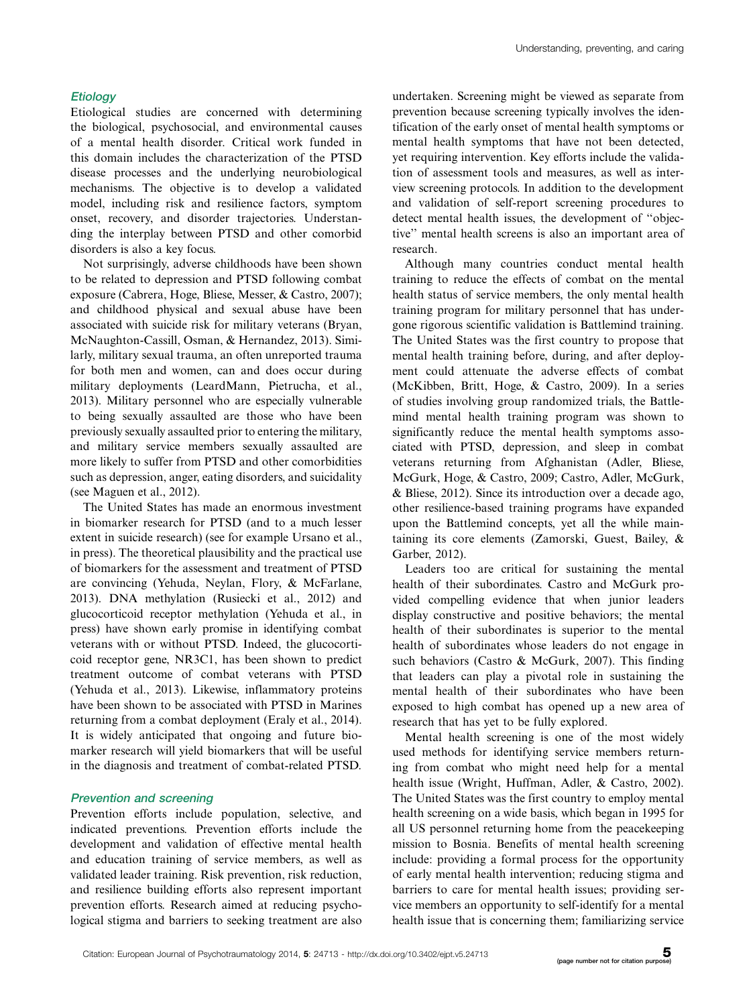# **Etiology**

Etiological studies are concerned with determining the biological, psychosocial, and environmental causes of a mental health disorder. Critical work funded in this domain includes the characterization of the PTSD disease processes and the underlying neurobiological mechanisms. The objective is to develop a validated model, including risk and resilience factors, symptom onset, recovery, and disorder trajectories. Understanding the interplay between PTSD and other comorbid disorders is also a key focus.

Not surprisingly, adverse childhoods have been shown to be related to depression and PTSD following combat exposure (Cabrera, Hoge, Bliese, Messer, & Castro, 2007); and childhood physical and sexual abuse have been associated with suicide risk for military veterans (Bryan, McNaughton-Cassill, Osman, & Hernandez, 2013). Similarly, military sexual trauma, an often unreported trauma for both men and women, can and does occur during military deployments (LeardMann, Pietrucha, et al., 2013). Military personnel who are especially vulnerable to being sexually assaulted are those who have been previously sexually assaulted prior to entering the military, and military service members sexually assaulted are more likely to suffer from PTSD and other comorbidities such as depression, anger, eating disorders, and suicidality (see Maguen et al., 2012).

The United States has made an enormous investment in biomarker research for PTSD (and to a much lesser extent in suicide research) (see for example Ursano et al., in press). The theoretical plausibility and the practical use of biomarkers for the assessment and treatment of PTSD are convincing (Yehuda, Neylan, Flory, & McFarlane, 2013). DNA methylation (Rusiecki et al., 2012) and glucocorticoid receptor methylation (Yehuda et al., in press) have shown early promise in identifying combat veterans with or without PTSD. Indeed, the glucocorticoid receptor gene, NR3C1, has been shown to predict treatment outcome of combat veterans with PTSD (Yehuda et al., 2013). Likewise, inflammatory proteins have been shown to be associated with PTSD in Marines returning from a combat deployment (Eraly et al., 2014). It is widely anticipated that ongoing and future biomarker research will yield biomarkers that will be useful in the diagnosis and treatment of combat-related PTSD.

# Prevention and screening

Prevention efforts include population, selective, and indicated preventions. Prevention efforts include the development and validation of effective mental health and education training of service members, as well as validated leader training. Risk prevention, risk reduction, and resilience building efforts also represent important prevention efforts. Research aimed at reducing psychological stigma and barriers to seeking treatment are also

undertaken. Screening might be viewed as separate from prevention because screening typically involves the identification of the early onset of mental health symptoms or mental health symptoms that have not been detected, yet requiring intervention. Key efforts include the validation of assessment tools and measures, as well as interview screening protocols. In addition to the development and validation of self-report screening procedures to detect mental health issues, the development of ''objective'' mental health screens is also an important area of research.

Although many countries conduct mental health training to reduce the effects of combat on the mental health status of service members, the only mental health training program for military personnel that has undergone rigorous scientific validation is Battlemind training. The United States was the first country to propose that mental health training before, during, and after deployment could attenuate the adverse effects of combat (McKibben, Britt, Hoge, & Castro, 2009). In a series of studies involving group randomized trials, the Battlemind mental health training program was shown to significantly reduce the mental health symptoms associated with PTSD, depression, and sleep in combat veterans returning from Afghanistan (Adler, Bliese, McGurk, Hoge, & Castro, 2009; Castro, Adler, McGurk, & Bliese, 2012). Since its introduction over a decade ago, other resilience-based training programs have expanded upon the Battlemind concepts, yet all the while maintaining its core elements (Zamorski, Guest, Bailey, & Garber, 2012).

Leaders too are critical for sustaining the mental health of their subordinates. Castro and McGurk provided compelling evidence that when junior leaders display constructive and positive behaviors; the mental health of their subordinates is superior to the mental health of subordinates whose leaders do not engage in such behaviors (Castro & McGurk, 2007). This finding that leaders can play a pivotal role in sustaining the mental health of their subordinates who have been exposed to high combat has opened up a new area of research that has yet to be fully explored.

Mental health screening is one of the most widely used methods for identifying service members returning from combat who might need help for a mental health issue (Wright, Huffman, Adler, & Castro, 2002). The United States was the first country to employ mental health screening on a wide basis, which began in 1995 for all US personnel returning home from the peacekeeping mission to Bosnia. Benefits of mental health screening include: providing a formal process for the opportunity of early mental health intervention; reducing stigma and barriers to care for mental health issues; providing service members an opportunity to self-identify for a mental health issue that is concerning them; familiarizing service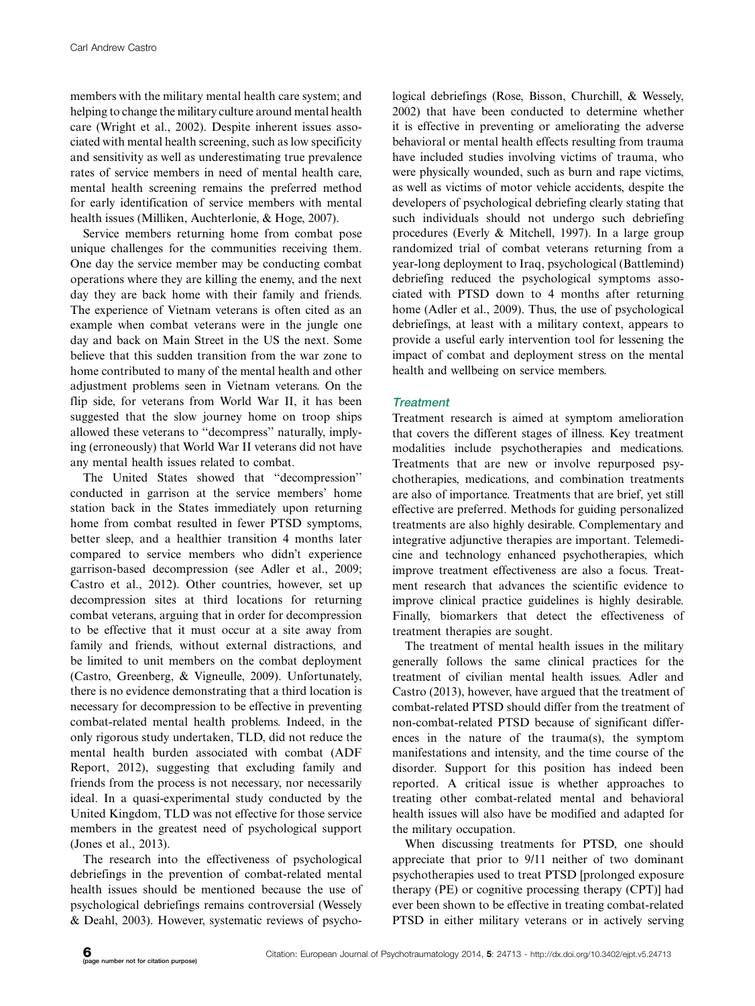members with the military mental health care system; and helping to change the military culture around mental health care (Wright et al., 2002). Despite inherent issues associated with mental health screening, such as low specificity and sensitivity as well as underestimating true prevalence rates of service members in need of mental health care, mental health screening remains the preferred method for early identification of service members with mental health issues (Milliken, Auchterlonie, & Hoge, 2007).

Service members returning home from combat pose unique challenges for the communities receiving them. One day the service member may be conducting combat operations where they are killing the enemy, and the next day they are back home with their family and friends. The experience of Vietnam veterans is often cited as an example when combat veterans were in the jungle one day and back on Main Street in the US the next. Some believe that this sudden transition from the war zone to home contributed to many of the mental health and other adjustment problems seen in Vietnam veterans. On the flip side, for veterans from World War II, it has been suggested that the slow journey home on troop ships allowed these veterans to ''decompress'' naturally, implying (erroneously) that World War II veterans did not have any mental health issues related to combat.

The United States showed that ''decompression'' conducted in garrison at the service members' home station back in the States immediately upon returning home from combat resulted in fewer PTSD symptoms, better sleep, and a healthier transition 4 months later compared to service members who didn't experience garrison-based decompression (see Adler et al., 2009; Castro et al., 2012). Other countries, however, set up decompression sites at third locations for returning combat veterans, arguing that in order for decompression to be effective that it must occur at a site away from family and friends, without external distractions, and be limited to unit members on the combat deployment (Castro, Greenberg, & Vigneulle, 2009). Unfortunately, there is no evidence demonstrating that a third location is necessary for decompression to be effective in preventing combat-related mental health problems. Indeed, in the only rigorous study undertaken, TLD, did not reduce the mental health burden associated with combat (ADF Report, 2012), suggesting that excluding family and friends from the process is not necessary, nor necessarily ideal. In a quasi-experimental study conducted by the United Kingdom, TLD was not effective for those service members in the greatest need of psychological support (Jones et al., 2013).

The research into the effectiveness of psychological debriefings in the prevention of combat-related mental health issues should be mentioned because the use of psychological debriefings remains controversial (Wessely & Deahl, 2003). However, systematic reviews of psychological debriefings (Rose, Bisson, Churchill, & Wessely, 2002) that have been conducted to determine whether it is effective in preventing or ameliorating the adverse behavioral or mental health effects resulting from trauma have included studies involving victims of trauma, who were physically wounded, such as burn and rape victims, as well as victims of motor vehicle accidents, despite the developers of psychological debriefing clearly stating that such individuals should not undergo such debriefing procedures (Everly & Mitchell, 1997). In a large group randomized trial of combat veterans returning from a year-long deployment to Iraq, psychological (Battlemind) debriefing reduced the psychological symptoms associated with PTSD down to 4 months after returning home (Adler et al., 2009). Thus, the use of psychological debriefings, at least with a military context, appears to provide a useful early intervention tool for lessening the impact of combat and deployment stress on the mental health and wellbeing on service members.

# **Treatment**

Treatment research is aimed at symptom amelioration that covers the different stages of illness. Key treatment modalities include psychotherapies and medications. Treatments that are new or involve repurposed psychotherapies, medications, and combination treatments are also of importance. Treatments that are brief, yet still effective are preferred. Methods for guiding personalized treatments are also highly desirable. Complementary and integrative adjunctive therapies are important. Telemedicine and technology enhanced psychotherapies, which improve treatment effectiveness are also a focus. Treatment research that advances the scientific evidence to improve clinical practice guidelines is highly desirable. Finally, biomarkers that detect the effectiveness of treatment therapies are sought.

The treatment of mental health issues in the military generally follows the same clinical practices for the treatment of civilian mental health issues. Adler and Castro (2013), however, have argued that the treatment of combat-related PTSD should differ from the treatment of non-combat-related PTSD because of significant differences in the nature of the trauma(s), the symptom manifestations and intensity, and the time course of the disorder. Support for this position has indeed been reported. A critical issue is whether approaches to treating other combat-related mental and behavioral health issues will also have be modified and adapted for the military occupation.

When discussing treatments for PTSD, one should appreciate that prior to 9/11 neither of two dominant psychotherapies used to treat PTSD [prolonged exposure therapy (PE) or cognitive processing therapy (CPT)] had ever been shown to be effective in treating combat-related PTSD in either military veterans or in actively serving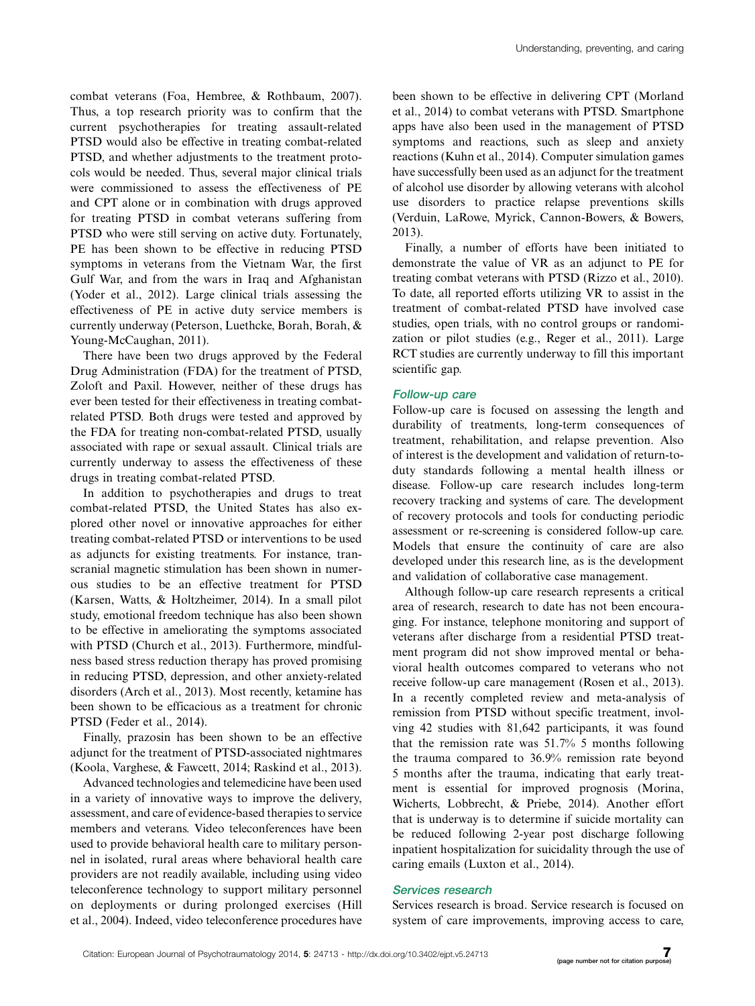combat veterans (Foa, Hembree, & Rothbaum, 2007). Thus, a top research priority was to confirm that the current psychotherapies for treating assault-related PTSD would also be effective in treating combat-related PTSD, and whether adjustments to the treatment protocols would be needed. Thus, several major clinical trials were commissioned to assess the effectiveness of PE and CPT alone or in combination with drugs approved for treating PTSD in combat veterans suffering from PTSD who were still serving on active duty. Fortunately, PE has been shown to be effective in reducing PTSD symptoms in veterans from the Vietnam War, the first Gulf War, and from the wars in Iraq and Afghanistan (Yoder et al., 2012). Large clinical trials assessing the effectiveness of PE in active duty service members is currently underway (Peterson, Luethcke, Borah, Borah, & Young-McCaughan, 2011).

There have been two drugs approved by the Federal Drug Administration (FDA) for the treatment of PTSD, Zoloft and Paxil. However, neither of these drugs has ever been tested for their effectiveness in treating combatrelated PTSD. Both drugs were tested and approved by the FDA for treating non-combat-related PTSD, usually associated with rape or sexual assault. Clinical trials are currently underway to assess the effectiveness of these drugs in treating combat-related PTSD.

In addition to psychotherapies and drugs to treat combat-related PTSD, the United States has also explored other novel or innovative approaches for either treating combat-related PTSD or interventions to be used as adjuncts for existing treatments. For instance, transcranial magnetic stimulation has been shown in numerous studies to be an effective treatment for PTSD (Karsen, Watts, & Holtzheimer, 2014). In a small pilot study, emotional freedom technique has also been shown to be effective in ameliorating the symptoms associated with PTSD (Church et al., 2013). Furthermore, mindfulness based stress reduction therapy has proved promising in reducing PTSD, depression, and other anxiety-related disorders (Arch et al., 2013). Most recently, ketamine has been shown to be efficacious as a treatment for chronic PTSD (Feder et al., 2014).

Finally, prazosin has been shown to be an effective adjunct for the treatment of PTSD-associated nightmares (Koola, Varghese, & Fawcett, 2014; Raskind et al., 2013).

Advanced technologies and telemedicine have been used in a variety of innovative ways to improve the delivery, assessment, and care of evidence-based therapies to service members and veterans. Video teleconferences have been used to provide behavioral health care to military personnel in isolated, rural areas where behavioral health care providers are not readily available, including using video teleconference technology to support military personnel on deployments or during prolonged exercises (Hill et al., 2004). Indeed, video teleconference procedures have

been shown to be effective in delivering CPT (Morland et al., 2014) to combat veterans with PTSD. Smartphone apps have also been used in the management of PTSD symptoms and reactions, such as sleep and anxiety reactions (Kuhn et al., 2014). Computer simulation games have successfully been used as an adjunct for the treatment of alcohol use disorder by allowing veterans with alcohol use disorders to practice relapse preventions skills (Verduin, LaRowe, Myrick, Cannon-Bowers, & Bowers, 2013).

Finally, a number of efforts have been initiated to demonstrate the value of VR as an adjunct to PE for treating combat veterans with PTSD (Rizzo et al., 2010). To date, all reported efforts utilizing VR to assist in the treatment of combat-related PTSD have involved case studies, open trials, with no control groups or randomization or pilot studies (e.g., Reger et al., 2011). Large RCT studies are currently underway to fill this important scientific gap.

#### Follow-up care

Follow-up care is focused on assessing the length and durability of treatments, long-term consequences of treatment, rehabilitation, and relapse prevention. Also of interest is the development and validation of return-toduty standards following a mental health illness or disease. Follow-up care research includes long-term recovery tracking and systems of care. The development of recovery protocols and tools for conducting periodic assessment or re-screening is considered follow-up care. Models that ensure the continuity of care are also developed under this research line, as is the development and validation of collaborative case management.

Although follow-up care research represents a critical area of research, research to date has not been encouraging. For instance, telephone monitoring and support of veterans after discharge from a residential PTSD treatment program did not show improved mental or behavioral health outcomes compared to veterans who not receive follow-up care management (Rosen et al., 2013). In a recently completed review and meta-analysis of remission from PTSD without specific treatment, involving 42 studies with 81,642 participants, it was found that the remission rate was 51.7% 5 months following the trauma compared to 36.9% remission rate beyond 5 months after the trauma, indicating that early treatment is essential for improved prognosis (Morina, Wicherts, Lobbrecht, & Priebe, 2014). Another effort that is underway is to determine if suicide mortality can be reduced following 2-year post discharge following inpatient hospitalization for suicidality through the use of caring emails (Luxton et al., 2014).

# Services research

Services research is broad. Service research is focused on system of care improvements, improving access to care,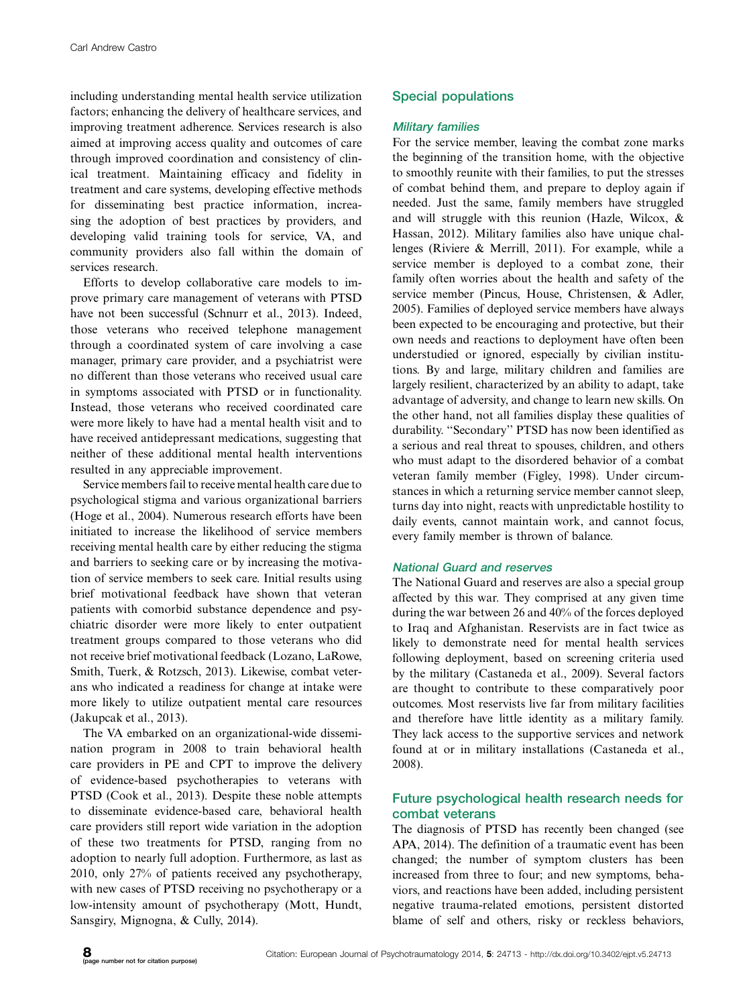including understanding mental health service utilization factors; enhancing the delivery of healthcare services, and improving treatment adherence. Services research is also aimed at improving access quality and outcomes of care through improved coordination and consistency of clinical treatment. Maintaining efficacy and fidelity in treatment and care systems, developing effective methods for disseminating best practice information, increasing the adoption of best practices by providers, and developing valid training tools for service, VA, and community providers also fall within the domain of services research.

Efforts to develop collaborative care models to improve primary care management of veterans with PTSD have not been successful (Schnurr et al., 2013). Indeed, those veterans who received telephone management through a coordinated system of care involving a case manager, primary care provider, and a psychiatrist were no different than those veterans who received usual care in symptoms associated with PTSD or in functionality. Instead, those veterans who received coordinated care were more likely to have had a mental health visit and to have received antidepressant medications, suggesting that neither of these additional mental health interventions resulted in any appreciable improvement.

Service members fail to receive mental health care due to psychological stigma and various organizational barriers (Hoge et al., 2004). Numerous research efforts have been initiated to increase the likelihood of service members receiving mental health care by either reducing the stigma and barriers to seeking care or by increasing the motivation of service members to seek care. Initial results using brief motivational feedback have shown that veteran patients with comorbid substance dependence and psychiatric disorder were more likely to enter outpatient treatment groups compared to those veterans who did not receive brief motivational feedback (Lozano, LaRowe, Smith, Tuerk, & Rotzsch, 2013). Likewise, combat veterans who indicated a readiness for change at intake were more likely to utilize outpatient mental care resources (Jakupcak et al., 2013).

The VA embarked on an organizational-wide dissemination program in 2008 to train behavioral health care providers in PE and CPT to improve the delivery of evidence-based psychotherapies to veterans with PTSD (Cook et al., 2013). Despite these noble attempts to disseminate evidence-based care, behavioral health care providers still report wide variation in the adoption of these two treatments for PTSD, ranging from no adoption to nearly full adoption. Furthermore, as last as 2010, only 27% of patients received any psychotherapy, with new cases of PTSD receiving no psychotherapy or a low-intensity amount of psychotherapy (Mott, Hundt, Sansgiry, Mignogna, & Cully, 2014).

# Special populations

#### Military families

For the service member, leaving the combat zone marks the beginning of the transition home, with the objective to smoothly reunite with their families, to put the stresses of combat behind them, and prepare to deploy again if needed. Just the same, family members have struggled and will struggle with this reunion (Hazle, Wilcox, & Hassan, 2012). Military families also have unique challenges (Riviere & Merrill, 2011). For example, while a service member is deployed to a combat zone, their family often worries about the health and safety of the service member (Pincus, House, Christensen, & Adler, 2005). Families of deployed service members have always been expected to be encouraging and protective, but their own needs and reactions to deployment have often been understudied or ignored, especially by civilian institutions. By and large, military children and families are largely resilient, characterized by an ability to adapt, take advantage of adversity, and change to learn new skills. On the other hand, not all families display these qualities of durability. ''Secondary'' PTSD has now been identified as a serious and real threat to spouses, children, and others who must adapt to the disordered behavior of a combat veteran family member (Figley, 1998). Under circumstances in which a returning service member cannot sleep, turns day into night, reacts with unpredictable hostility to daily events, cannot maintain work, and cannot focus, every family member is thrown of balance.

#### National Guard and reserves

The National Guard and reserves are also a special group affected by this war. They comprised at any given time during the war between 26 and 40% of the forces deployed to Iraq and Afghanistan. Reservists are in fact twice as likely to demonstrate need for mental health services following deployment, based on screening criteria used by the military (Castaneda et al., 2009). Several factors are thought to contribute to these comparatively poor outcomes. Most reservists live far from military facilities and therefore have little identity as a military family. They lack access to the supportive services and network found at or in military installations (Castaneda et al., 2008).

# Future psychological health research needs for combat veterans

The diagnosis of PTSD has recently been changed (see APA, 2014). The definition of a traumatic event has been changed; the number of symptom clusters has been increased from three to four; and new symptoms, behaviors, and reactions have been added, including persistent negative trauma-related emotions, persistent distorted blame of self and others, risky or reckless behaviors,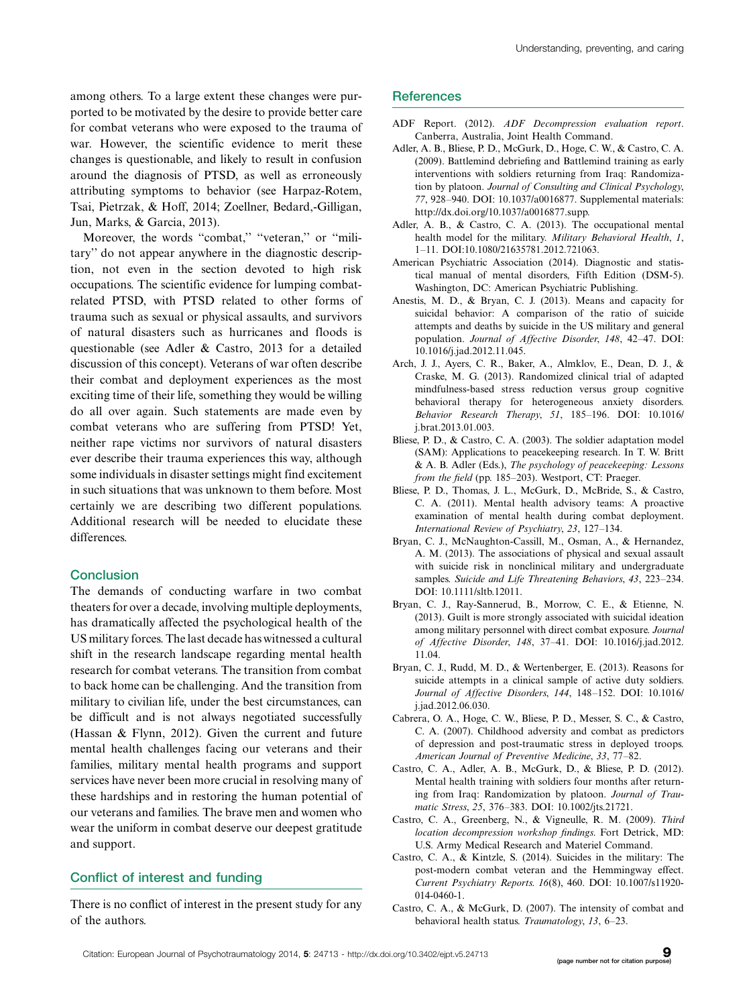among others. To a large extent these changes were purported to be motivated by the desire to provide better care for combat veterans who were exposed to the trauma of war. However, the scientific evidence to merit these changes is questionable, and likely to result in confusion around the diagnosis of PTSD, as well as erroneously attributing symptoms to behavior (see Harpaz-Rotem, Tsai, Pietrzak, & Hoff, 2014; Zoellner, Bedard,-Gilligan, Jun, Marks, & Garcia, 2013).

Moreover, the words "combat," "veteran," or "military'' do not appear anywhere in the diagnostic description, not even in the section devoted to high risk occupations. The scientific evidence for lumping combatrelated PTSD, with PTSD related to other forms of trauma such as sexual or physical assaults, and survivors of natural disasters such as hurricanes and floods is questionable (see Adler & Castro, 2013 for a detailed discussion of this concept). Veterans of war often describe their combat and deployment experiences as the most exciting time of their life, something they would be willing do all over again. Such statements are made even by combat veterans who are suffering from PTSD! Yet, neither rape victims nor survivors of natural disasters ever describe their trauma experiences this way, although some individuals in disaster settings might find excitement in such situations that was unknown to them before. Most certainly we are describing two different populations. Additional research will be needed to elucidate these differences.

# **Conclusion**

The demands of conducting warfare in two combat theaters for over a decade, involving multiple deployments, has dramatically affected the psychological health of the US military forces. The last decade has witnessed a cultural shift in the research landscape regarding mental health research for combat veterans. The transition from combat to back home can be challenging. And the transition from military to civilian life, under the best circumstances, can be difficult and is not always negotiated successfully (Hassan & Flynn, 2012). Given the current and future mental health challenges facing our veterans and their families, military mental health programs and support services have never been more crucial in resolving many of these hardships and in restoring the human potential of our veterans and families. The brave men and women who wear the uniform in combat deserve our deepest gratitude and support.

# Conflict of interest and funding

There is no conflict of interest in the present study for any of the authors.

# **References**

- ADF Report. (2012). ADF Decompression evaluation report. Canberra, Australia, Joint Health Command.
- Adler, A. B., Bliese, P. D., McGurk, D., Hoge, C. W., & Castro, C. A. (2009). Battlemind debriefing and Battlemind training as early interventions with soldiers returning from Iraq: Randomization by platoon. Journal of Consulting and Clinical Psychology, 77, 928-940. DOI: 10.1037/a0016877. Supplemental materials: [http://dx.doi.org/10.1037/a0016877.supp.](http://dx.doi.org/10.1037/a0016877.supp)
- Adler, A. B., & Castro, C. A. (2013). The occupational mental health model for the military. Military Behavioral Health, 1, 1-11. DOI:10.1080/21635781.2012.721063.
- American Psychiatric Association (2014). Diagnostic and statistical manual of mental disorders, Fifth Edition (DSM-5). Washington, DC: American Psychiatric Publishing.
- Anestis, M. D., & Bryan, C. J. (2013). Means and capacity for suicidal behavior: A comparison of the ratio of suicide attempts and deaths by suicide in the US military and general population. Journal of Affective Disorder, 148, 42-47. DOI: 10.1016/j.jad.2012.11.045.
- Arch, J. J., Ayers, C. R., Baker, A., Almklov, E., Dean, D. J., & Craske, M. G. (2013). Randomized clinical trial of adapted mindfulness-based stress reduction versus group cognitive behavioral therapy for heterogeneous anxiety disorders. Behavior Research Therapy, 51, 185-196. DOI: 10.1016/ j.brat.2013.01.003.
- Bliese, P. D., & Castro, C. A. (2003). The soldier adaptation model (SAM): Applications to peacekeeping research. In T. W. Britt & A. B. Adler (Eds.), The psychology of peacekeeping: Lessons from the field (pp. 185-203). Westport, CT: Praeger.
- Bliese, P. D., Thomas, J. L., McGurk, D., McBride, S., & Castro, C. A. (2011). Mental health advisory teams: A proactive examination of mental health during combat deployment. International Review of Psychiatry, 23, 127-134.
- Bryan, C. J., McNaughton-Cassill, M., Osman, A., & Hernandez, A. M. (2013). The associations of physical and sexual assault with suicide risk in nonclinical military and undergraduate samples. Suicide and Life Threatening Behaviors, 43, 223-234. DOI: 10.1111/sltb.12011.
- Bryan, C. J., Ray-Sannerud, B., Morrow, C. E., & Etienne, N. (2013). Guilt is more strongly associated with suicidal ideation among military personnel with direct combat exposure. Journal of Affective Disorder, 148, 37-41. DOI: 10.1016/j.jad.2012. 11.04.
- Bryan, C. J., Rudd, M. D., & Wertenberger, E. (2013). Reasons for suicide attempts in a clinical sample of active duty soldiers. Journal of Affective Disorders, 144, 148-152. DOI: 10.1016/ j.jad.2012.06.030.
- Cabrera, O. A., Hoge, C. W., Bliese, P. D., Messer, S. C., & Castro, C. A. (2007). Childhood adversity and combat as predictors of depression and post-traumatic stress in deployed troops. American Journal of Preventive Medicine, 33, 77-82.
- Castro, C. A., Adler, A. B., McGurk, D., & Bliese, P. D. (2012). Mental health training with soldiers four months after returning from Iraq: Randomization by platoon. Journal of Traumatic Stress, 25, 376-383. DOI: 10.1002/jts.21721.
- Castro, C. A., Greenberg, N., & Vigneulle, R. M. (2009). Third location decompression workshop findings. Fort Detrick, MD: U.S. Army Medical Research and Materiel Command.
- Castro, C. A., & Kintzle, S. (2014). Suicides in the military: The post-modern combat veteran and the Hemmingway effect. Current Psychiatry Reports. 16(8), 460. DOI: 10.1007/s11920- 014-0460-1.
- Castro, C. A., & McGurk, D. (2007). The intensity of combat and behavioral health status. Traumatology, 13, 6-23.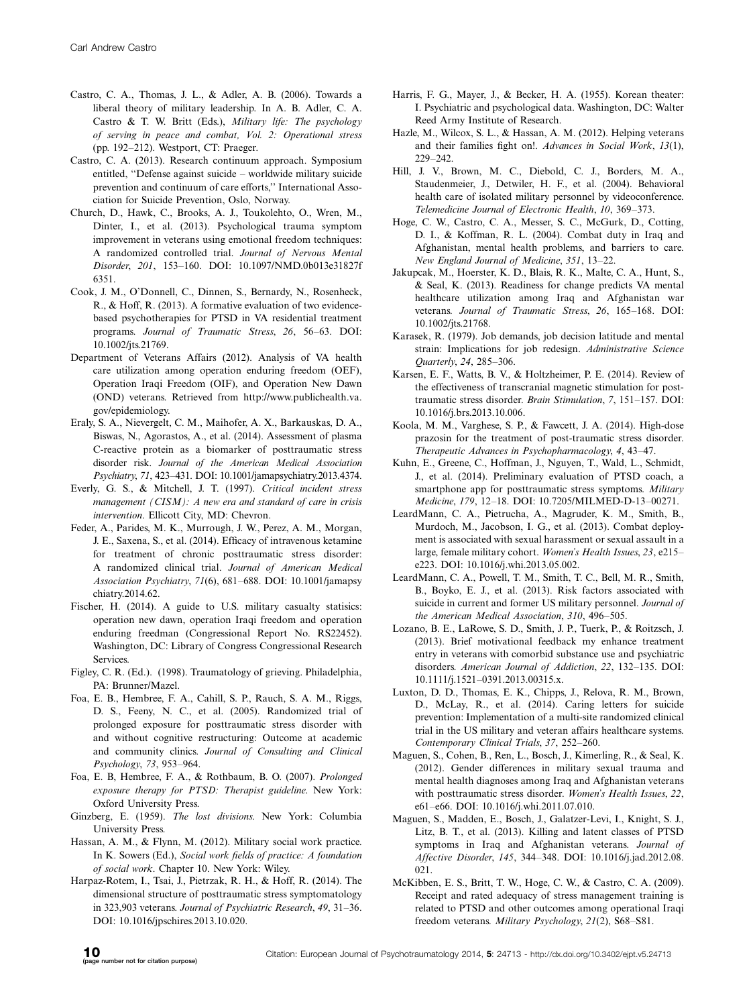- Castro, C. A., Thomas, J. L., & Adler, A. B. (2006). Towards a liberal theory of military leadership. In A. B. Adler, C. A. Castro & T. W. Britt (Eds.), Military life: The psychology of serving in peace and combat, Vol. 2: Operational stress (pp. 192-212). Westport, CT: Praeger.
- Castro, C. A. (2013). Research continuum approach. Symposium entitled, ''Defense against suicide - worldwide military suicide prevention and continuum of care efforts,'' International Association for Suicide Prevention, Oslo, Norway.
- Church, D., Hawk, C., Brooks, A. J., Toukolehto, O., Wren, M., Dinter, I., et al. (2013). Psychological trauma symptom improvement in veterans using emotional freedom techniques: A randomized controlled trial. Journal of Nervous Mental Disorder, 201, 153-160. DOI: 10.1097/NMD.0b013e31827f 6351.
- Cook, J. M., O'Donnell, C., Dinnen, S., Bernardy, N., Rosenheck, R., & Hoff, R. (2013). A formative evaluation of two evidencebased psychotherapies for PTSD in VA residential treatment programs. Journal of Traumatic Stress, 26, 56-63. DOI: 10.1002/jts.21769.
- Department of Veterans Affairs (2012). Analysis of VA health care utilization among operation enduring freedom (OEF), Operation Iraqi Freedom (OIF), and Operation New Dawn (OND) veterans. Retrieved from [http://www.publichealth.va.](http://www.publichealth.va.gov/epidemiology) [gov/epidemiology.](http://www.publichealth.va.gov/epidemiology)
- Eraly, S. A., Nievergelt, C. M., Maihofer, A. X., Barkauskas, D. A., Biswas, N., Agorastos, A., et al. (2014). Assessment of plasma C-reactive protein as a biomarker of posttraumatic stress disorder risk. Journal of the American Medical Association Psychiatry, 71, 423-431. DOI: 10.1001/jamapsychiatry.2013.4374.
- Everly, G. S., & Mitchell, J. T. (1997). Critical incident stress management (CISM): A new era and standard of care in crisis intervention. Ellicott City, MD: Chevron.
- Feder, A., Parides, M. K., Murrough, J. W., Perez, A. M., Morgan, J. E., Saxena, S., et al. (2014). Efficacy of intravenous ketamine for treatment of chronic posttraumatic stress disorder: A randomized clinical trial. Journal of American Medical Association Psychiatry, 71(6), 681-688. DOI: 10.1001/jamapsy chiatry.2014.62.
- Fischer, H. (2014). A guide to U.S. military casualty statisics: operation new dawn, operation Iraqi freedom and operation enduring freedman (Congressional Report No. RS22452). Washington, DC: Library of Congress Congressional Research Services.
- Figley, C. R. (Ed.). (1998). Traumatology of grieving. Philadelphia, PA: Brunner/Mazel.
- Foa, E. B., Hembree, F. A., Cahill, S. P., Rauch, S. A. M., Riggs, D. S., Feeny, N. C., et al. (2005). Randomized trial of prolonged exposure for posttraumatic stress disorder with and without cognitive restructuring: Outcome at academic and community clinics. Journal of Consulting and Clinical Psychology, 73, 953-964.
- Foa, E. B, Hembree, F. A., & Rothbaum, B. O. (2007). Prolonged exposure therapy for PTSD: Therapist guideline. New York: Oxford University Press.
- Ginzberg, E. (1959). The lost divisions. New York: Columbia University Press.
- Hassan, A. M., & Flynn, M. (2012). Military social work practice. In K. Sowers (Ed.), Social work fields of practice: A foundation of social work. Chapter 10. New York: Wiley.
- Harpaz-Rotem, I., Tsai, J., Pietrzak, R. H., & Hoff, R. (2014). The dimensional structure of posttraumatic stress symptomatology in 323,903 veterans. Journal of Psychiatric Research, 49, 31-36. DOI: 10.1016/jpschires.2013.10.020.
- Harris, F. G., Mayer, J., & Becker, H. A. (1955). Korean theater: I. Psychiatric and psychological data. Washington, DC: Walter Reed Army Institute of Research.
- Hazle, M., Wilcox, S. L., & Hassan, A. M. (2012). Helping veterans and their families fight on!. Advances in Social Work, 13(1), 229-242.
- Hill, J. V., Brown, M. C., Diebold, C. J., Borders, M. A., Staudenmeier, J., Detwiler, H. F., et al. (2004). Behavioral health care of isolated military personnel by videoconference. Telemedicine Journal of Electronic Health, 10, 369-373.
- Hoge, C. W., Castro, C. A., Messer, S. C., McGurk, D., Cotting, D. I., & Koffman, R. L. (2004). Combat duty in Iraq and Afghanistan, mental health problems, and barriers to care. New England Journal of Medicine, 351, 13-22.
- Jakupcak, M., Hoerster, K. D., Blais, R. K., Malte, C. A., Hunt, S., & Seal, K. (2013). Readiness for change predicts VA mental healthcare utilization among Iraq and Afghanistan war veterans. Journal of Traumatic Stress, 26, 165-168. DOI: 10.1002/jts.21768.
- Karasek, R. (1979). Job demands, job decision latitude and mental strain: Implications for job redesign. Administrative Science Quarterly, 24, 285-306.
- Karsen, E. F., Watts, B. V., & Holtzheimer, P. E. (2014). Review of the effectiveness of transcranial magnetic stimulation for posttraumatic stress disorder. Brain Stimulation, 7, 151-157. DOI: 10.1016/j.brs.2013.10.006.
- Koola, M. M., Varghese, S. P., & Fawcett, J. A. (2014). High-dose prazosin for the treatment of post-traumatic stress disorder. Therapeutic Advances in Psychopharmacology, 4, 43-47.
- Kuhn, E., Greene, C., Hoffman, J., Nguyen, T., Wald, L., Schmidt, J., et al. (2014). Preliminary evaluation of PTSD coach, a smartphone app for posttraumatic stress symptoms. Military Medicine, 179, 12-18. DOI: 10.7205/MILMED-D-13-00271.
- LeardMann, C. A., Pietrucha, A., Magruder, K. M., Smith, B., Murdoch, M., Jacobson, I. G., et al. (2013). Combat deployment is associated with sexual harassment or sexual assault in a large, female military cohort. Women's Health Issues, 23, e215e223. DOI: 10.1016/j.whi.2013.05.002.
- LeardMann, C. A., Powell, T. M., Smith, T. C., Bell, M. R., Smith, B., Boyko, E. J., et al. (2013). Risk factors associated with suicide in current and former US military personnel. Journal of the American Medical Association, 310, 496-505.
- Lozano, B. E., LaRowe, S. D., Smith, J. P., Tuerk, P., & Roitzsch, J. (2013). Brief motivational feedback my enhance treatment entry in veterans with comorbid substance use and psychiatric disorders. American Journal of Addiction, 22, 132-135. DOI: 10.1111/j.1521-0391.2013.00315.x.
- Luxton, D. D., Thomas, E. K., Chipps, J., Relova, R. M., Brown, D., McLay, R., et al. (2014). Caring letters for suicide prevention: Implementation of a multi-site randomized clinical trial in the US military and veteran affairs healthcare systems. Contemporary Clinical Trials, 37, 252-260.
- Maguen, S., Cohen, B., Ren, L., Bosch, J., Kimerling, R., & Seal, K. (2012). Gender differences in military sexual trauma and mental health diagnoses among Iraq and Afghanistan veterans with posttraumatic stress disorder. Women's Health Issues, 22, e61-e66. DOI: 10.1016/j.whi.2011.07.010.
- Maguen, S., Madden, E., Bosch, J., Galatzer-Levi, I., Knight, S. J., Litz, B. T., et al. (2013). Killing and latent classes of PTSD symptoms in Iraq and Afghanistan veterans. Journal of Affective Disorder, 145, 344-348. DOI: 10.1016/j.jad.2012.08. 021.
- McKibben, E. S., Britt, T. W., Hoge, C. W., & Castro, C. A. (2009). Receipt and rated adequacy of stress management training is related to PTSD and other outcomes among operational Iraqi freedom veterans. Military Psychology, 21(2), S68-S81.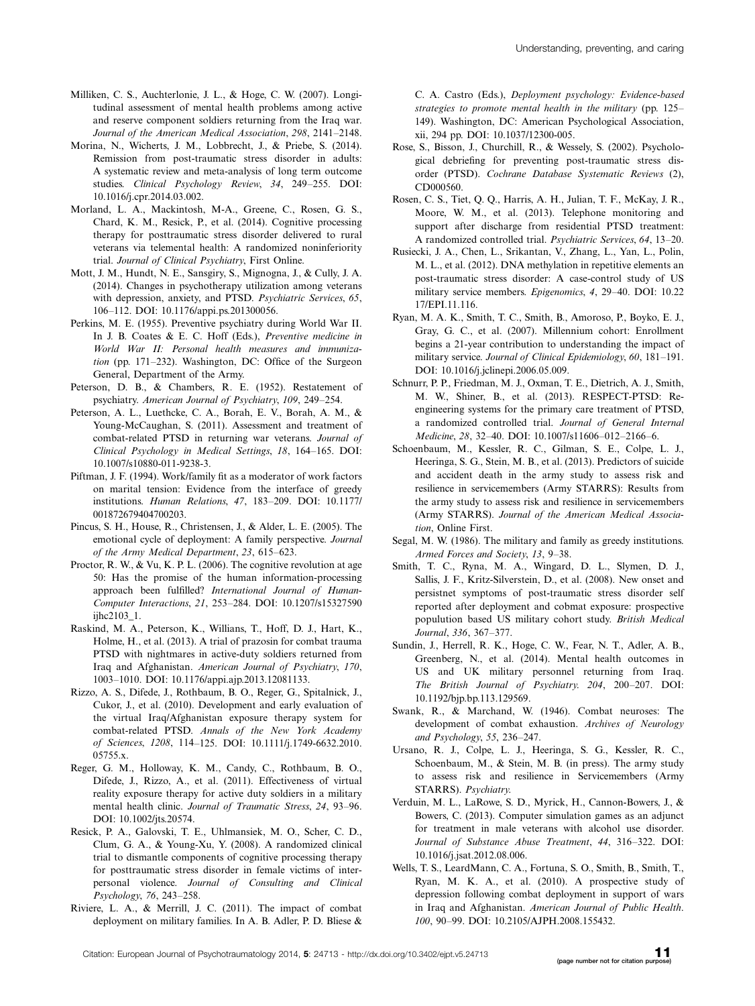- Milliken, C. S., Auchterlonie, J. L., & Hoge, C. W. (2007). Longitudinal assessment of mental health problems among active and reserve component soldiers returning from the Iraq war. Journal of the American Medical Association, 298, 2141-2148.
- Morina, N., Wicherts, J. M., Lobbrecht, J., & Priebe, S. (2014). Remission from post-traumatic stress disorder in adults: A systematic review and meta-analysis of long term outcome studies. Clinical Psychology Review, 34, 249-255. DOI: 10.1016/j.cpr.2014.03.002.
- Morland, L. A., Mackintosh, M-A., Greene, C., Rosen, G. S., Chard, K. M., Resick, P., et al. (2014). Cognitive processing therapy for posttraumatic stress disorder delivered to rural veterans via telemental health: A randomized noninferiority trial. Journal of Clinical Psychiatry, First Online.
- Mott, J. M., Hundt, N. E., Sansgiry, S., Mignogna, J., & Cully, J. A. (2014). Changes in psychotherapy utilization among veterans with depression, anxiety, and PTSD. Psychiatric Services, 65, 106-112. DOI: 10.1176/appi.ps.201300056.
- Perkins, M. E. (1955). Preventive psychiatry during World War II. In J. B. Coates & E. C. Hoff (Eds.), Preventive medicine in World War II: Personal health measures and immunization (pp. 171-232). Washington, DC: Office of the Surgeon General, Department of the Army.
- Peterson, D. B., & Chambers, R. E. (1952). Restatement of psychiatry. American Journal of Psychiatry, 109, 249-254.
- Peterson, A. L., Luethcke, C. A., Borah, E. V., Borah, A. M., & Young-McCaughan, S. (2011). Assessment and treatment of combat-related PTSD in returning war veterans. Journal of Clinical Psychology in Medical Settings, 18, 164-165. DOI: 10.1007/s10880-011-9238-3.
- Piftman, J. F. (1994). Work/family fit as a moderator of work factors on marital tension: Evidence from the interface of greedy institutions. Human Relations, 47, 183-209. DOI: 10.1177/ 001872679404700203.
- Pincus, S. H., House, R., Christensen, J., & Alder, L. E. (2005). The emotional cycle of deployment: A family perspective. Journal of the Army Medical Department, 23, 615-623.
- Proctor, R. W., & Vu, K. P. L. (2006). The cognitive revolution at age 50: Has the promise of the human information-processing approach been fulfilled? International Journal of Human-Computer Interactions, 21, 253-284. DOI: 10.1207/s15327590 ijhc2103\_1.
- Raskind, M. A., Peterson, K., Willians, T., Hoff, D. J., Hart, K., Holme, H., et al. (2013). A trial of prazosin for combat trauma PTSD with nightmares in active-duty soldiers returned from Iraq and Afghanistan. American Journal of Psychiatry, 170, 1003-1010. DOI: 10.1176/appi.ajp.2013.12081133.
- Rizzo, A. S., Difede, J., Rothbaum, B. O., Reger, G., Spitalnick, J., Cukor, J., et al. (2010). Development and early evaluation of the virtual Iraq/Afghanistan exposure therapy system for combat-related PTSD. Annals of the New York Academy of Sciences, 1208, 114-125. DOI: 10.1111/j.1749-6632.2010. 05755.x.
- Reger, G. M., Holloway, K. M., Candy, C., Rothbaum, B. O., Difede, J., Rizzo, A., et al. (2011). Effectiveness of virtual reality exposure therapy for active duty soldiers in a military mental health clinic. Journal of Traumatic Stress, 24, 93-96. DOI: 10.1002/jts.20574.
- Resick, P. A., Galovski, T. E., Uhlmansiek, M. O., Scher, C. D., Clum, G. A., & Young-Xu, Y. (2008). A randomized clinical trial to dismantle components of cognitive processing therapy for posttraumatic stress disorder in female victims of interpersonal violence. Journal of Consulting and Clinical Psychology, 76, 243-258.
- Riviere, L. A., & Merrill, J. C. (2011). The impact of combat deployment on military families. In A. B. Adler, P. D. Bliese &

C. A. Castro (Eds.), Deployment psychology: Evidence-based strategies to promote mental health in the military (pp. 125- 149). Washington, DC: American Psychological Association, xii, 294 pp. DOI: 10.1037/12300-005.

- Rose, S., Bisson, J., Churchill, R., & Wessely, S. (2002). Psychological debriefing for preventing post-traumatic stress disorder (PTSD). Cochrane Database Systematic Reviews (2), CD000560.
- Rosen, C. S., Tiet, Q. Q., Harris, A. H., Julian, T. F., McKay, J. R., Moore, W. M., et al. (2013). Telephone monitoring and support after discharge from residential PTSD treatment: A randomized controlled trial. Psychiatric Services, 64, 13-20.
- Rusiecki, J. A., Chen, L., Srikantan, V., Zhang, L., Yan, L., Polin, M. L., et al. (2012). DNA methylation in repetitive elements an post-traumatic stress disorder: A case-control study of US military service members. Epigenomics, 4, 29-40. DOI: 10.22 17/EPI.11.116.
- Ryan, M. A. K., Smith, T. C., Smith, B., Amoroso, P., Boyko, E. J., Gray, G. C., et al. (2007). Millennium cohort: Enrollment begins a 21-year contribution to understanding the impact of military service. Journal of Clinical Epidemiology, 60, 181-191. DOI: 10.1016/j.jclinepi.2006.05.009.
- Schnurr, P. P., Friedman, M. J., Oxman, T. E., Dietrich, A. J., Smith, M. W., Shiner, B., et al. (2013). RESPECT-PTSD: Reengineering systems for the primary care treatment of PTSD, a randomized controlled trial. Journal of General Internal Medicine, 28, 32-40. DOI: 10.1007/s11606-012-2166-6.
- Schoenbaum, M., Kessler, R. C., Gilman, S. E., Colpe, L. J., Heeringa, S. G., Stein, M. B., et al. (2013). Predictors of suicide and accident death in the army study to assess risk and resilience in servicemembers (Army STARRS): Results from the army study to assess risk and resilience in servicemembers (Army STARRS). Journal of the American Medical Association, Online First.
- Segal, M. W. (1986). The military and family as greedy institutions. Armed Forces and Society, 13, 9-38.
- Smith, T. C., Ryna, M. A., Wingard, D. L., Slymen, D. J., Sallis, J. F., Kritz-Silverstein, D., et al. (2008). New onset and persistnet symptoms of post-traumatic stress disorder self reported after deployment and cobmat exposure: prospective populution based US military cohort study. British Medical Journal, 336, 367-377.
- Sundin, J., Herrell, R. K., Hoge, C. W., Fear, N. T., Adler, A. B., Greenberg, N., et al. (2014). Mental health outcomes in US and UK military personnel returning from Iraq. The British Journal of Psychiatry. 204, 200-207. DOI: 10.1192/bjp.bp.113.129569.
- Swank, R., & Marchand, W. (1946). Combat neuroses: The development of combat exhaustion. Archives of Neurology and Psychology, 55, 236-247.
- Ursano, R. J., Colpe, L. J., Heeringa, S. G., Kessler, R. C., Schoenbaum, M., & Stein, M. B. (in press). The army study to assess risk and resilience in Servicemembers (Army STARRS). Psychiatry.
- Verduin, M. L., LaRowe, S. D., Myrick, H., Cannon-Bowers, J., & Bowers, C. (2013). Computer simulation games as an adjunct for treatment in male veterans with alcohol use disorder. Journal of Substance Abuse Treatment, 44, 316-322. DOI: 10.1016/j.jsat.2012.08.006.
- Wells, T. S., LeardMann, C. A., Fortuna, S. O., Smith, B., Smith, T., Ryan, M. K. A., et al. (2010). A prospective study of depression following combat deployment in support of wars in Iraq and Afghanistan. American Journal of Public Health. 100, 90-99. DOI: 10.2105/AJPH.2008.155432.